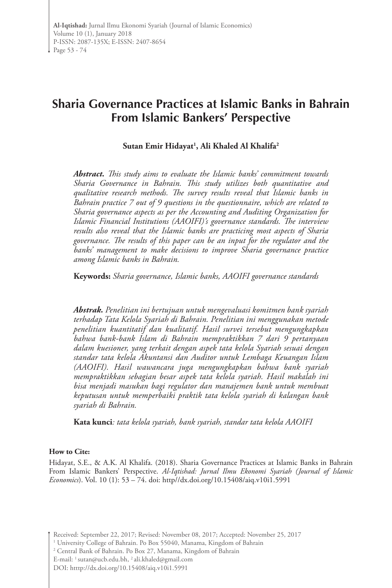# **Sharia Governance Practices at Islamic Banks in Bahrain From Islamic Bankers' Perspective**

**Sutan Emir Hidayat1 , Ali Khaled Al Khalifa2**

*Abstract. This study aims to evaluate the Islamic banks' commitment towards Sharia Governance in Bahrain. This study utilizes both quantitative and qualitative research methods. The survey results reveal that Islamic banks in Bahrain practice 7 out of 9 questions in the questionnaire, which are related to Sharia governance aspects as per the Accounting and Auditing Organization for Islamic Financial Institutions (AAOIFI)'s governance standards. The interview results also reveal that the Islamic banks are practicing most aspects of Sharia governance. The results of this paper can be an input for the regulator and the banks' management to make decisions to improve Sharia governance practice among Islamic banks in Bahrain.* 

**Keywords:** *Sharia governance, Islamic banks, AAOIFI governance standards*

*Abstrak. Penelitian ini bertujuan untuk mengevaluasi komitmen bank syariah terhadap Tata Kelola Syariah di Bahrain. Penelitian ini menggunakan metode penelitian kuantitatif dan kualitatif. Hasil survei tersebut mengungkapkan bahwa bank-bank Islam di Bahrain mempraktikkan 7 dari 9 pertanyaan dalam kuesioner, yang terkait dengan aspek tata kelola Syariah sesuai dengan standar tata kelola Akuntansi dan Auditor untuk Lembaga Keuangan Islam (AAOIFI). Hasil wawancara juga mengungkapkan bahwa bank syariah mempraktikkan sebagian besar aspek tata kelola syariah. Hasil makalah ini bisa menjadi masukan bagi regulator dan manajemen bank untuk membuat keputusan untuk memperbaiki praktik tata kelola syariah di kalangan bank syariah di Bahrain.*

**Kata kunci***: tata kelola syariah, bank syariah, standar tata kelola AAOIFI*

#### **How to Cite:**

Hidayat, S.E., & A.K. Al Khalifa. (2018). Sharia Governance Practices at Islamic Banks in Bahrain From Islamic Bankers' Perspective. *Al-Iqtishad: Jurnal Ilmu Ekonomi Syariah (Journal of Islamic Economics*). Vol. 10 (1): 53 – 74. doi: http//dx.doi.org/10.15408/aiq.v10i1.5991

Received: September 22, 2017; Revised: November 08, 2017; Accepted: November 25, 2017

<sup>&</sup>lt;sup>1</sup> University College of Bahrain. Po Box 55040, Manama, Kingdom of Bahrain

<sup>2</sup> Central Bank of Bahrain. Po Box 27, Manama, Kingdom of Bahrain

E-mail: 1 sutan@ucb.edu.bh, 2 ali.khaled@gmail.com

DOI: htttp://dx.doi.org/10.15408/aiq.v10i1.5991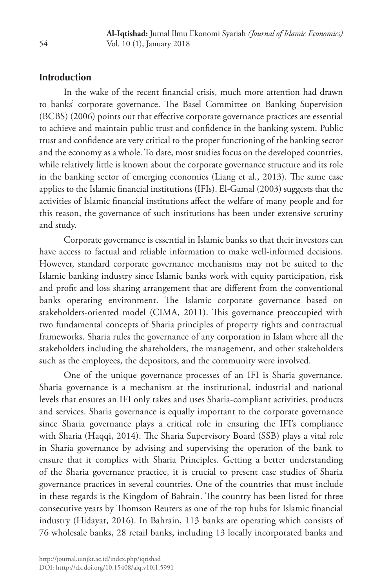### **Introduction**

In the wake of the recent financial crisis, much more attention had drawn to banks' corporate governance. The Basel Committee on Banking Supervision (BCBS) (2006) points out that effective corporate governance practices are essential to achieve and maintain public trust and confidence in the banking system. Public trust and confidence are very critical to the proper functioning of the banking sector and the economy as a whole. To date, most studies focus on the developed countries, while relatively little is known about the corporate governance structure and its role in the banking sector of emerging economies (Liang et al., 2013). The same case applies to the Islamic financial institutions (IFIs). El-Gamal (2003) suggests that the activities of Islamic financial institutions affect the welfare of many people and for this reason, the governance of such institutions has been under extensive scrutiny and study.

Corporate governance is essential in Islamic banks so that their investors can have access to factual and reliable information to make well-informed decisions. However, standard corporate governance mechanisms may not be suited to the Islamic banking industry since Islamic banks work with equity participation, risk and profit and loss sharing arrangement that are different from the conventional banks operating environment. The Islamic corporate governance based on stakeholders-oriented model (CIMA, 2011). This governance preoccupied with two fundamental concepts of Sharia principles of property rights and contractual frameworks. Sharia rules the governance of any corporation in Islam where all the stakeholders including the shareholders, the management, and other stakeholders such as the employees, the depositors, and the community were involved.

One of the unique governance processes of an IFI is Sharia governance. Sharia governance is a mechanism at the institutional, industrial and national levels that ensures an IFI only takes and uses Sharia-compliant activities, products and services. Sharia governance is equally important to the corporate governance since Sharia governance plays a critical role in ensuring the IFI's compliance with Sharia (Haqqi, 2014). The Sharia Supervisory Board (SSB) plays a vital role in Sharia governance by advising and supervising the operation of the bank to ensure that it complies with Sharia Principles. Getting a better understanding of the Sharia governance practice, it is crucial to present case studies of Sharia governance practices in several countries. One of the countries that must include in these regards is the Kingdom of Bahrain. The country has been listed for three consecutive years by Thomson Reuters as one of the top hubs for Islamic financial industry (Hidayat, 2016). In Bahrain, 113 banks are operating which consists of 76 wholesale banks, 28 retail banks, including 13 locally incorporated banks and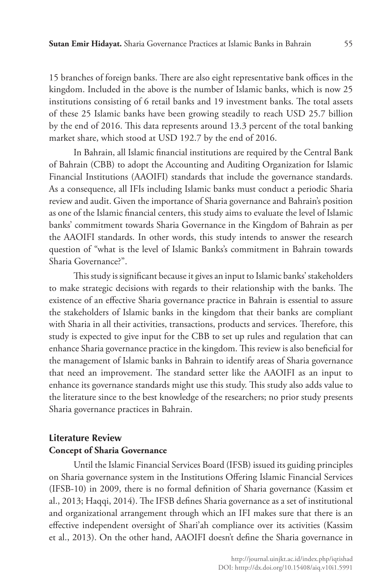15 branches of foreign banks. There are also eight representative bank offices in the kingdom. Included in the above is the number of Islamic banks, which is now 25 institutions consisting of 6 retail banks and 19 investment banks. The total assets of these 25 Islamic banks have been growing steadily to reach USD 25.7 billion by the end of 2016. This data represents around 13.3 percent of the total banking market share, which stood at USD 192.7 by the end of 2016.

In Bahrain, all Islamic financial institutions are required by the Central Bank of Bahrain (CBB) to adopt the Accounting and Auditing Organization for Islamic Financial Institutions (AAOIFI) standards that include the governance standards. As a consequence, all IFIs including Islamic banks must conduct a periodic Sharia review and audit. Given the importance of Sharia governance and Bahrain's position as one of the Islamic financial centers, this study aims to evaluate the level of Islamic banks' commitment towards Sharia Governance in the Kingdom of Bahrain as per the AAOIFI standards. In other words, this study intends to answer the research question of "what is the level of Islamic Banks's commitment in Bahrain towards Sharia Governance?".

This study is significant because it gives an input to Islamic banks' stakeholders to make strategic decisions with regards to their relationship with the banks. The existence of an effective Sharia governance practice in Bahrain is essential to assure the stakeholders of Islamic banks in the kingdom that their banks are compliant with Sharia in all their activities, transactions, products and services. Therefore, this study is expected to give input for the CBB to set up rules and regulation that can enhance Sharia governance practice in the kingdom. This review is also beneficial for the management of Islamic banks in Bahrain to identify areas of Sharia governance that need an improvement. The standard setter like the AAOIFI as an input to enhance its governance standards might use this study. This study also adds value to the literature since to the best knowledge of the researchers; no prior study presents Sharia governance practices in Bahrain.

# **Literature Review Concept of Sharia Governance**

Until the Islamic Financial Services Board (IFSB) issued its guiding principles on Sharia governance system in the Institutions Offering Islamic Financial Services (IFSB-10) in 2009, there is no formal definition of Sharia governance (Kassim et al., 2013; Haqqi, 2014). The IFSB defines Sharia governance as a set of institutional and organizational arrangement through which an IFI makes sure that there is an effective independent oversight of Shari'ah compliance over its activities (Kassim et al., 2013). On the other hand, AAOIFI doesn't define the Sharia governance in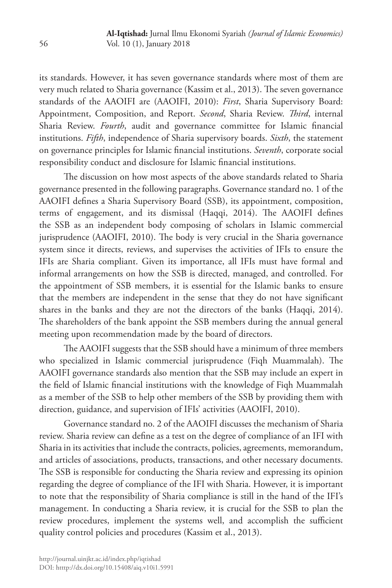its standards. However, it has seven governance standards where most of them are very much related to Sharia governance (Kassim et al., 2013). The seven governance standards of the AAOIFI are (AAOIFI, 2010): *First*, Sharia Supervisory Board: Appointment, Composition, and Report. *Second*, Sharia Review. *Third*, internal Sharia Review. *Fourth*, audit and governance committee for Islamic financial institutions. *Fifth*, independence of Sharia supervisory boards. *Sixth*, the statement on governance principles for Islamic financial institutions. *Seventh*, corporate social responsibility conduct and disclosure for Islamic financial institutions.

The discussion on how most aspects of the above standards related to Sharia governance presented in the following paragraphs. Governance standard no. 1 of the AAOIFI defines a Sharia Supervisory Board (SSB), its appointment, composition, terms of engagement, and its dismissal (Haqqi, 2014). The AAOIFI defines the SSB as an independent body composing of scholars in Islamic commercial jurisprudence (AAOIFI, 2010). The body is very crucial in the Sharia governance system since it directs, reviews, and supervises the activities of IFIs to ensure the IFIs are Sharia compliant. Given its importance, all IFIs must have formal and informal arrangements on how the SSB is directed, managed, and controlled. For the appointment of SSB members, it is essential for the Islamic banks to ensure that the members are independent in the sense that they do not have significant shares in the banks and they are not the directors of the banks (Haqqi, 2014). The shareholders of the bank appoint the SSB members during the annual general meeting upon recommendation made by the board of directors.

The AAOIFI suggests that the SSB should have a minimum of three members who specialized in Islamic commercial jurisprudence (Fiqh Muammalah). The AAOIFI governance standards also mention that the SSB may include an expert in the field of Islamic financial institutions with the knowledge of Fiqh Muammalah as a member of the SSB to help other members of the SSB by providing them with direction, guidance, and supervision of IFIs' activities (AAOIFI, 2010).

Governance standard no. 2 of the AAOIFI discusses the mechanism of Sharia review. Sharia review can define as a test on the degree of compliance of an IFI with Sharia in its activities that include the contracts, policies, agreements, memorandum, and articles of associations, products, transactions, and other necessary documents. The SSB is responsible for conducting the Sharia review and expressing its opinion regarding the degree of compliance of the IFI with Sharia. However, it is important to note that the responsibility of Sharia compliance is still in the hand of the IFI's management. In conducting a Sharia review, it is crucial for the SSB to plan the review procedures, implement the systems well, and accomplish the sufficient quality control policies and procedures (Kassim et al., 2013).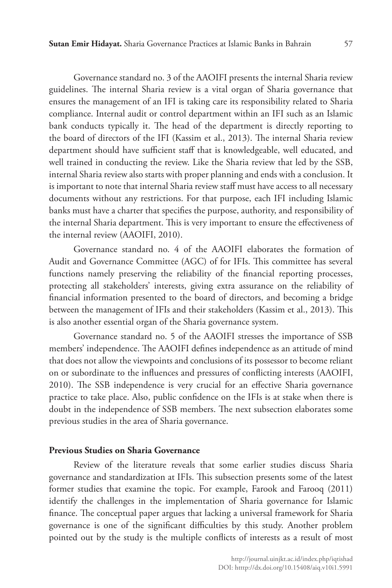Governance standard no. 3 of the AAOIFI presents the internal Sharia review guidelines. The internal Sharia review is a vital organ of Sharia governance that ensures the management of an IFI is taking care its responsibility related to Sharia compliance. Internal audit or control department within an IFI such as an Islamic bank conducts typically it. The head of the department is directly reporting to the board of directors of the IFI (Kassim et al., 2013). The internal Sharia review department should have sufficient staff that is knowledgeable, well educated, and well trained in conducting the review. Like the Sharia review that led by the SSB, internal Sharia review also starts with proper planning and ends with a conclusion. It is important to note that internal Sharia review staff must have access to all necessary documents without any restrictions. For that purpose, each IFI including Islamic banks must have a charter that specifies the purpose, authority, and responsibility of the internal Sharia department. This is very important to ensure the effectiveness of the internal review (AAOIFI, 2010).

Governance standard no. 4 of the AAOIFI elaborates the formation of Audit and Governance Committee (AGC) of for IFIs. This committee has several functions namely preserving the reliability of the financial reporting processes, protecting all stakeholders' interests, giving extra assurance on the reliability of financial information presented to the board of directors, and becoming a bridge between the management of IFIs and their stakeholders (Kassim et al., 2013). This is also another essential organ of the Sharia governance system.

Governance standard no. 5 of the AAOIFI stresses the importance of SSB members' independence. The AAOIFI defines independence as an attitude of mind that does not allow the viewpoints and conclusions of its possessor to become reliant on or subordinate to the influences and pressures of conflicting interests (AAOIFI, 2010). The SSB independence is very crucial for an effective Sharia governance practice to take place. Also, public confidence on the IFIs is at stake when there is doubt in the independence of SSB members. The next subsection elaborates some previous studies in the area of Sharia governance.

#### **Previous Studies on Sharia Governance**

Review of the literature reveals that some earlier studies discuss Sharia governance and standardization at IFIs. This subsection presents some of the latest former studies that examine the topic. For example, Farook and Farooq (2011) identify the challenges in the implementation of Sharia governance for Islamic finance. The conceptual paper argues that lacking a universal framework for Sharia governance is one of the significant difficulties by this study. Another problem pointed out by the study is the multiple conflicts of interests as a result of most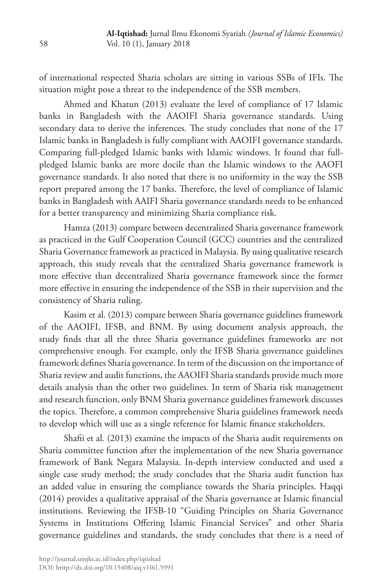of international respected Sharia scholars are sitting in various SSBs of IFIs. The situation might pose a threat to the independence of the SSB members.

Ahmed and Khatun (2013) evaluate the level of compliance of 17 Islamic banks in Bangladesh with the AAOIFI Sharia governance standards. Using secondary data to derive the inferences. The study concludes that none of the 17 Islamic banks in Bangladesh is fully compliant with AAOIFI governance standards. Comparing full-pledged Islamic banks with Islamic windows. It found that fullpledged Islamic banks are more docile than the Islamic windows to the AAOFI governance standards. It also noted that there is no uniformity in the way the SSB report prepared among the 17 banks. Therefore, the level of compliance of Islamic banks in Bangladesh with AAIFI Sharia governance standards needs to be enhanced for a better transparency and minimizing Sharia compliance risk.

Hamza (2013) compare between decentralized Sharia governance framework as practiced in the Gulf Cooperation Council (GCC) countries and the centralized Sharia Governance framework as practiced in Malaysia. By using qualitative research approach, this study reveals that the centralized Sharia governance framework is more effective than decentralized Sharia governance framework since the former more effective in ensuring the independence of the SSB in their supervision and the consistency of Sharia ruling.

Kasim et al. (2013) compare between Sharia governance guidelines framework of the AAOIFI, IFSB, and BNM. By using document analysis approach, the study finds that all the three Sharia governance guidelines frameworks are not comprehensive enough. For example, only the IFSB Sharia governance guidelines framework defines Sharia governance. In term of the discussion on the importance of Sharia review and audit functions, the AAOIFI Sharia standards provide much more details analysis than the other two guidelines. In term of Sharia risk management and research function, only BNM Sharia governance guidelines framework discusses the topics. Therefore, a common comprehensive Sharia guidelines framework needs to develop which will use as a single reference for Islamic finance stakeholders.

Shafii et al. (2013) examine the impacts of the Sharia audit requirements on Sharia committee function after the implementation of the new Sharia governance framework of Bank Negara Malaysia. In-depth interview conducted and used a single case study method; the study concludes that the Sharia audit function has an added value in ensuring the compliance towards the Sharia principles. Haqqi (2014) provides a qualitative appraisal of the Sharia governance at Islamic financial institutions. Reviewing the IFSB-10 "Guiding Principles on Sharia Governance Systems in Institutions Offering Islamic Financial Services" and other Sharia governance guidelines and standards, the study concludes that there is a need of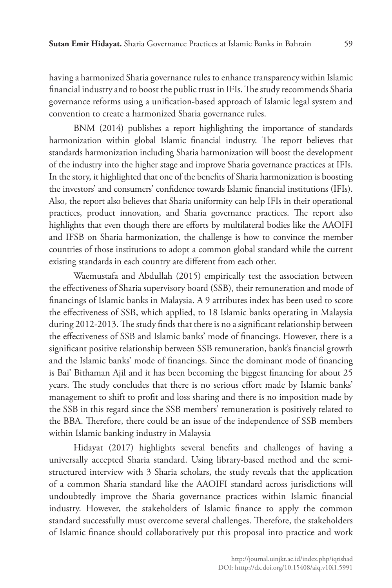having a harmonized Sharia governance rules to enhance transparency within Islamic financial industry and to boost the public trust in IFIs. The study recommends Sharia governance reforms using a unification-based approach of Islamic legal system and convention to create a harmonized Sharia governance rules.

BNM (2014) publishes a report highlighting the importance of standards harmonization within global Islamic financial industry. The report believes that standards harmonization including Sharia harmonization will boost the development of the industry into the higher stage and improve Sharia governance practices at IFIs. In the story, it highlighted that one of the benefits of Sharia harmonization is boosting the investors' and consumers' confidence towards Islamic financial institutions (IFIs). Also, the report also believes that Sharia uniformity can help IFIs in their operational practices, product innovation, and Sharia governance practices. The report also highlights that even though there are efforts by multilateral bodies like the AAOIFI and IFSB on Sharia harmonization, the challenge is how to convince the member countries of those institutions to adopt a common global standard while the current existing standards in each country are different from each other.

Waemustafa and Abdullah (2015) empirically test the association between the effectiveness of Sharia supervisory board (SSB), their remuneration and mode of financings of Islamic banks in Malaysia. A 9 attributes index has been used to score the effectiveness of SSB, which applied, to 18 Islamic banks operating in Malaysia during 2012-2013. The study finds that there is no a significant relationship between the effectiveness of SSB and Islamic banks' mode of financings. However, there is a significant positive relationship between SSB remuneration, bank's financial growth and the Islamic banks' mode of financings. Since the dominant mode of financing is Bai' Bithaman Ajil and it has been becoming the biggest financing for about 25 years. The study concludes that there is no serious effort made by Islamic banks' management to shift to profit and loss sharing and there is no imposition made by the SSB in this regard since the SSB members' remuneration is positively related to the BBA. Therefore, there could be an issue of the independence of SSB members within Islamic banking industry in Malaysia

Hidayat (2017) highlights several benefits and challenges of having a universally accepted Sharia standard. Using library-based method and the semistructured interview with 3 Sharia scholars, the study reveals that the application of a common Sharia standard like the AAOIFI standard across jurisdictions will undoubtedly improve the Sharia governance practices within Islamic financial industry. However, the stakeholders of Islamic finance to apply the common standard successfully must overcome several challenges. Therefore, the stakeholders of Islamic finance should collaboratively put this proposal into practice and work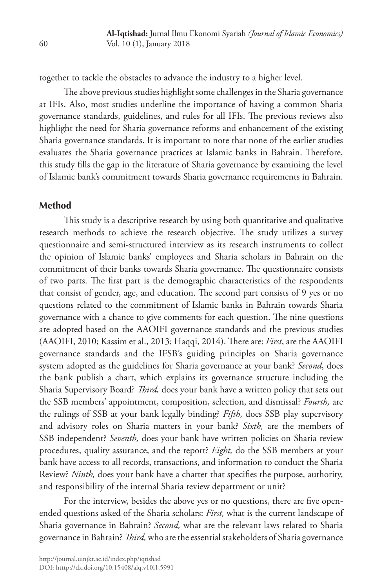together to tackle the obstacles to advance the industry to a higher level.

The above previous studies highlight some challenges in the Sharia governance at IFIs. Also, most studies underline the importance of having a common Sharia governance standards, guidelines, and rules for all IFIs. The previous reviews also highlight the need for Sharia governance reforms and enhancement of the existing Sharia governance standards. It is important to note that none of the earlier studies evaluates the Sharia governance practices at Islamic banks in Bahrain. Therefore, this study fills the gap in the literature of Sharia governance by examining the level of Islamic bank's commitment towards Sharia governance requirements in Bahrain.

#### **Method**

This study is a descriptive research by using both quantitative and qualitative research methods to achieve the research objective. The study utilizes a survey questionnaire and semi-structured interview as its research instruments to collect the opinion of Islamic banks' employees and Sharia scholars in Bahrain on the commitment of their banks towards Sharia governance. The questionnaire consists of two parts. The first part is the demographic characteristics of the respondents that consist of gender, age, and education. The second part consists of 9 yes or no questions related to the commitment of Islamic banks in Bahrain towards Sharia governance with a chance to give comments for each question. The nine questions are adopted based on the AAOIFI governance standards and the previous studies (AAOIFI, 2010; Kassim et al., 2013; Haqqi, 2014). There are: *First*, are the AAOIFI governance standards and the IFSB's guiding principles on Sharia governance system adopted as the guidelines for Sharia governance at your bank? *Second*, does the bank publish a chart, which explains its governance structure including the Sharia Supervisory Board? *Third,* does your bank have a written policy that sets out the SSB members' appointment, composition, selection, and dismissal? *Fourth,* are the rulings of SSB at your bank legally binding? *Fifth,* does SSB play supervisory and advisory roles on Sharia matters in your bank? *Sixth,* are the members of SSB independent? *Seventh,* does your bank have written policies on Sharia review procedures, quality assurance, and the report? *Eight,* do the SSB members at your bank have access to all records, transactions, and information to conduct the Sharia Review? *Ninth,* does your bank have a charter that specifies the purpose, authority, and responsibility of the internal Sharia review department or unit?

For the interview, besides the above yes or no questions, there are five openended questions asked of the Sharia scholars: *First,* what is the current landscape of Sharia governance in Bahrain? *Second,* what are the relevant laws related to Sharia governance in Bahrain? *Third,* who are the essential stakeholders of Sharia governance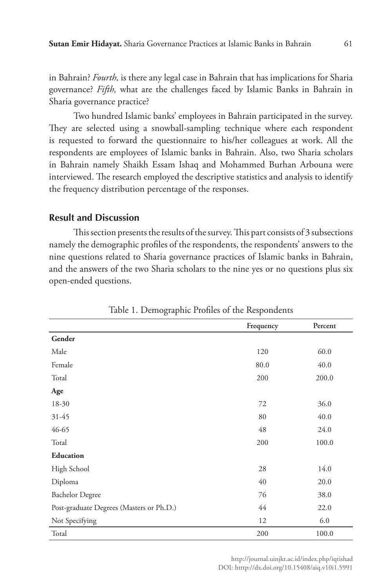in Bahrain? *Fourth,* is there any legal case in Bahrain that has implications for Sharia governance? *Fifth,* what are the challenges faced by Islamic Banks in Bahrain in Sharia governance practice?

Two hundred Islamic banks' employees in Bahrain participated in the survey. They are selected using a snowball-sampling technique where each respondent is requested to forward the questionnaire to his/her colleagues at work. All the respondents are employees of Islamic banks in Bahrain. Also, two Sharia scholars in Bahrain namely Shaikh Essam Ishaq and Mohammed Burhan Arbouna were interviewed. The research employed the descriptive statistics and analysis to identify the frequency distribution percentage of the responses.

#### **Result and Discussion**

This section presents the results of the survey. This part consists of 3 subsections namely the demographic profiles of the respondents, the respondents' answers to the nine questions related to Sharia governance practices of Islamic banks in Bahrain, and the answers of the two Sharia scholars to the nine yes or no questions plus six open-ended questions.

|                                          | Frequency | Percent |
|------------------------------------------|-----------|---------|
| Gender                                   |           |         |
| Male                                     | 120       | 60.0    |
| Female                                   | 80.0      | 40.0    |
| Total                                    | 200       | 200.0   |
| Age                                      |           |         |
| 18-30                                    | 72        | 36.0    |
| $31 - 45$                                | 80        | 40.0    |
| 46-65                                    | 48        | 24.0    |
| Total                                    | 200       | 100.0   |
| Education                                |           |         |
| High School                              | 28        | 14.0    |
| Diploma                                  | 40        | 20.0    |
| <b>Bachelor Degree</b>                   | 76        | 38.0    |
| Post-graduate Degrees (Masters or Ph.D.) | 44        | 22.0    |
| Not Specifying                           | 12        | 6.0     |
| Total                                    | 200       | 100.0   |

Table 1. Demographic Profiles of the Respondents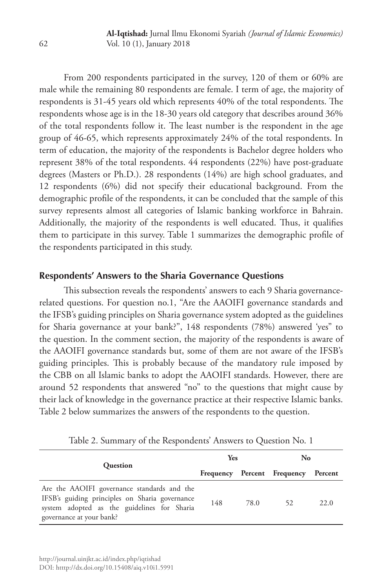From 200 respondents participated in the survey, 120 of them or 60% are male while the remaining 80 respondents are female. I term of age, the majority of respondents is 31-45 years old which represents 40% of the total respondents. The respondents whose age is in the 18-30 years old category that describes around 36% of the total respondents follow it. The least number is the respondent in the age group of 46-65, which represents approximately 24% of the total respondents. In term of education, the majority of the respondents is Bachelor degree holders who represent 38% of the total respondents. 44 respondents (22%) have post-graduate degrees (Masters or Ph.D.). 28 respondents (14%) are high school graduates, and 12 respondents (6%) did not specify their educational background. From the demographic profile of the respondents, it can be concluded that the sample of this survey represents almost all categories of Islamic banking workforce in Bahrain. Additionally, the majority of the respondents is well educated. Thus, it qualifies them to participate in this survey. Table 1 summarizes the demographic profile of the respondents participated in this study.

### **Respondents' Answers to the Sharia Governance Questions**

This subsection reveals the respondents' answers to each 9 Sharia governancerelated questions. For question no.1, "Are the AAOIFI governance standards and the IFSB's guiding principles on Sharia governance system adopted as the guidelines for Sharia governance at your bank?", 148 respondents (78%) answered 'yes" to the question. In the comment section, the majority of the respondents is aware of the AAOIFI governance standards but, some of them are not aware of the IFSB's guiding principles. This is probably because of the mandatory rule imposed by the CBB on all Islamic banks to adopt the AAOIFI standards. However, there are around 52 respondents that answered "no" to the questions that might cause by their lack of knowledge in the governance practice at their respective Islamic banks. Table 2 below summarizes the answers of the respondents to the question.

|                                                                                                                                                                          | Yes |      | No                                  |      |
|--------------------------------------------------------------------------------------------------------------------------------------------------------------------------|-----|------|-------------------------------------|------|
| <b>Question</b>                                                                                                                                                          |     |      | Frequency Percent Frequency Percent |      |
| Are the AAOIFI governance standards and the<br>IFSB's guiding principles on Sharia governance<br>system adopted as the guidelines for Sharia<br>governance at your bank? | 148 | 78.0 | 52                                  | 22.0 |

Table 2. Summary of the Respondents' Answers to Question No. 1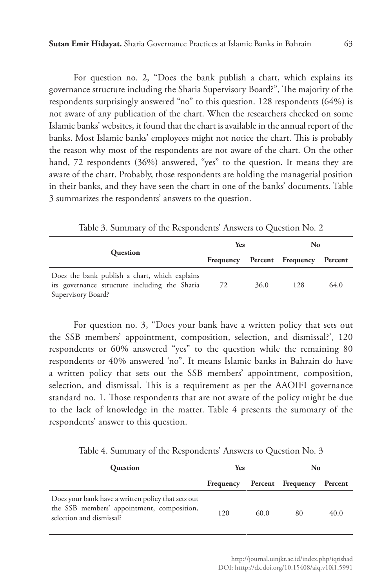For question no. 2, "Does the bank publish a chart, which explains its governance structure including the Sharia Supervisory Board?", The majority of the respondents surprisingly answered "no" to this question. 128 respondents (64%) is not aware of any publication of the chart. When the researchers checked on some Islamic banks' websites, it found that the chart is available in the annual report of the banks. Most Islamic banks' employees might not notice the chart. This is probably the reason why most of the respondents are not aware of the chart. On the other hand, 72 respondents (36%) answered, "yes" to the question. It means they are aware of the chart. Probably, those respondents are holding the managerial position in their banks, and they have seen the chart in one of the banks' documents. Table 3 summarizes the respondents' answers to the question.

|                                                                                                                      | Yes |      | No                          |         |
|----------------------------------------------------------------------------------------------------------------------|-----|------|-----------------------------|---------|
| <b>Question</b>                                                                                                      |     |      | Frequency Percent Frequency | Percent |
| Does the bank publish a chart, which explains<br>its governance structure including the Sharia<br>Supervisory Board? | 72  | 36.0 | 128                         | 64.0    |

Table 3. Summary of the Respondents' Answers to Question No. 2

For question no. 3, "Does your bank have a written policy that sets out the SSB members' appointment, composition, selection, and dismissal?', 120 respondents or 60% answered "yes" to the question while the remaining 80 respondents or 40% answered 'no". It means Islamic banks in Bahrain do have a written policy that sets out the SSB members' appointment, composition, selection, and dismissal. This is a requirement as per the AAOIFI governance standard no. 1. Those respondents that are not aware of the policy might be due to the lack of knowledge in the matter. Table 4 presents the summary of the respondents' answer to this question.

Table 4. Summary of the Respondents' Answers to Question No. 3

| Question                                                                                                                     | <b>Yes</b> |      | No                        |      |  |
|------------------------------------------------------------------------------------------------------------------------------|------------|------|---------------------------|------|--|
|                                                                                                                              | Frequency  |      | Percent Frequency Percent |      |  |
| Does your bank have a written policy that sets out<br>the SSB members' appointment, composition,<br>selection and dismissal? | 120        | 60.0 | 80                        | 40.0 |  |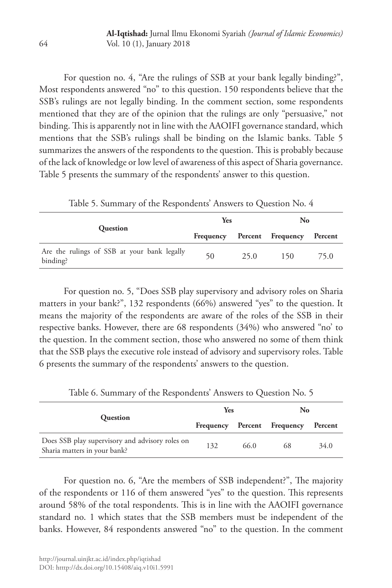For question no. 4, "Are the rulings of SSB at your bank legally binding?", Most respondents answered "no" to this question. 150 respondents believe that the SSB's rulings are not legally binding. In the comment section, some respondents mentioned that they are of the opinion that the rulings are only "persuasive," not binding. This is apparently not in line with the AAOIFI governance standard, which mentions that the SSB's rulings shall be binding on the Islamic banks. Table 5 summarizes the answers of the respondents to the question. This is probably because of the lack of knowledge or low level of awareness of this aspect of Sharia governance. Table 5 presents the summary of the respondents' answer to this question.

Table 5. Summary of the Respondents' Answers to Question No. 4

|                                                         | Yes       |      | No                |         |
|---------------------------------------------------------|-----------|------|-------------------|---------|
| Question                                                | Frequency |      | Percent Frequency | Percent |
| Are the rulings of SSB at your bank legally<br>binding? | 50        | 25.0 | 150               | 75.0    |

For question no. 5, "Does SSB play supervisory and advisory roles on Sharia matters in your bank?", 132 respondents (66%) answered "yes" to the question. It means the majority of the respondents are aware of the roles of the SSB in their respective banks. However, there are 68 respondents (34%) who answered "no' to the question. In the comment section, those who answered no some of them think that the SSB plays the executive role instead of advisory and supervisory roles. Table 6 presents the summary of the respondents' answers to the question.

|                                                                                 | <b>Yes</b> |      | No                          |         |
|---------------------------------------------------------------------------------|------------|------|-----------------------------|---------|
| <b>Question</b>                                                                 |            |      | Frequency Percent Frequency | Percent |
| Does SSB play supervisory and advisory roles on<br>Sharia matters in your bank? | 132        | 66.0 | 68                          | 34.0    |

Table 6. Summary of the Respondents' Answers to Question No. 5

For question no. 6, "Are the members of SSB independent?", The majority of the respondents or 116 of them answered "yes" to the question. This represents around 58% of the total respondents. This is in line with the AAOIFI governance standard no. 1 which states that the SSB members must be independent of the banks. However, 84 respondents answered "no" to the question. In the comment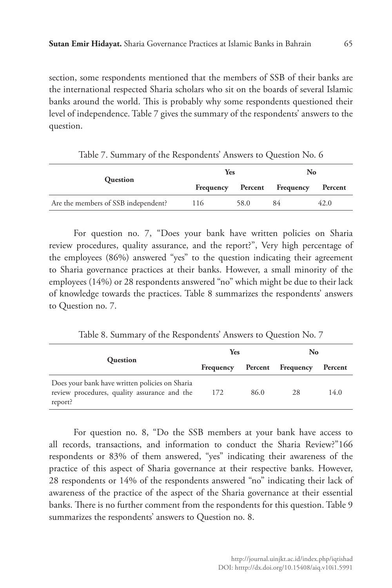section, some respondents mentioned that the members of SSB of their banks are the international respected Sharia scholars who sit on the boards of several Islamic banks around the world. This is probably why some respondents questioned their level of independence. Table 7 gives the summary of the respondents' answers to the question.

|                                     | Yes |      | No                          |         |
|-------------------------------------|-----|------|-----------------------------|---------|
| <b>Question</b>                     |     |      | Frequency Percent Frequency | Percent |
| Are the members of SSB independent? | 116 | 58.0 | 84                          | 42.0    |

Table 7. Summary of the Respondents' Answers to Question No. 6

For question no. 7, "Does your bank have written policies on Sharia review procedures, quality assurance, and the report?", Very high percentage of the employees (86%) answered "yes" to the question indicating their agreement to Sharia governance practices at their banks. However, a small minority of the employees (14%) or 28 respondents answered "no" which might be due to their lack of knowledge towards the practices. Table 8 summarizes the respondents' answers to Question no. 7.

Table 8. Summary of the Respondents' Answers to Question No. 7

|                                                                                                           | Yes                         |      | No |         |
|-----------------------------------------------------------------------------------------------------------|-----------------------------|------|----|---------|
| Question                                                                                                  | Frequency Percent Frequency |      |    | Percent |
| Does your bank have written policies on Sharia<br>review procedures, quality assurance and the<br>report? | 172                         | 86.0 | 28 | 14.0    |

For question no. 8, "Do the SSB members at your bank have access to all records, transactions, and information to conduct the Sharia Review?"166 respondents or 83% of them answered, "yes" indicating their awareness of the practice of this aspect of Sharia governance at their respective banks. However, 28 respondents or 14% of the respondents answered "no" indicating their lack of awareness of the practice of the aspect of the Sharia governance at their essential banks. There is no further comment from the respondents for this question. Table 9 summarizes the respondents' answers to Question no. 8.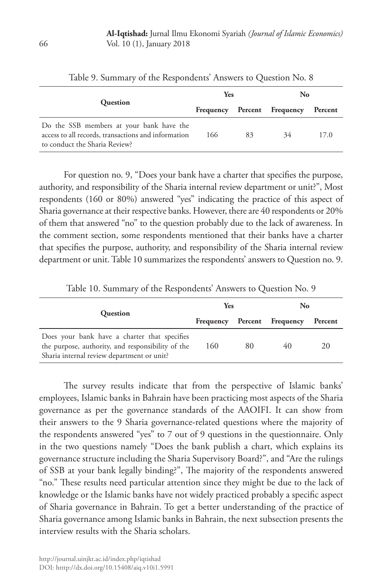|                                                                                                                                  | <b>Yes</b> |    | No.                         |         |
|----------------------------------------------------------------------------------------------------------------------------------|------------|----|-----------------------------|---------|
| <b>Ouestion</b>                                                                                                                  |            |    | Frequency Percent Frequency | Percent |
| Do the SSB members at your bank have the<br>access to all records, transactions and information<br>to conduct the Sharia Review? | 166        | 83 | 34                          | 17.0    |

Table 9. Summary of the Respondents' Answers to Question No. 8

For question no. 9, "Does your bank have a charter that specifies the purpose, authority, and responsibility of the Sharia internal review department or unit?", Most respondents (160 or 80%) answered "yes" indicating the practice of this aspect of Sharia governance at their respective banks. However, there are 40 respondents or 20% of them that answered "no" to the question probably due to the lack of awareness. In the comment section, some respondents mentioned that their banks have a charter that specifies the purpose, authority, and responsibility of the Sharia internal review department or unit. Table 10 summarizes the respondents' answers to Question no. 9.

|                                                                                                                                                 | <b>Yes</b> |    | No                          |         |
|-------------------------------------------------------------------------------------------------------------------------------------------------|------------|----|-----------------------------|---------|
| <b>Question</b>                                                                                                                                 |            |    | Frequency Percent Frequency | Percent |
| Does your bank have a charter that specifies<br>the purpose, authority, and responsibility of the<br>Sharia internal review department or unit? | 160        | 80 | 40                          | 20      |

Table 10. Summary of the Respondents' Answers to Question No. 9

The survey results indicate that from the perspective of Islamic banks' employees, Islamic banks in Bahrain have been practicing most aspects of the Sharia governance as per the governance standards of the AAOIFI. It can show from their answers to the 9 Sharia governance-related questions where the majority of the respondents answered "yes" to 7 out of 9 questions in the questionnaire. Only in the two questions namely "Does the bank publish a chart, which explains its governance structure including the Sharia Supervisory Board?", and "Are the rulings of SSB at your bank legally binding?", The majority of the respondents answered "no." These results need particular attention since they might be due to the lack of knowledge or the Islamic banks have not widely practiced probably a specific aspect of Sharia governance in Bahrain. To get a better understanding of the practice of Sharia governance among Islamic banks in Bahrain, the next subsection presents the interview results with the Sharia scholars.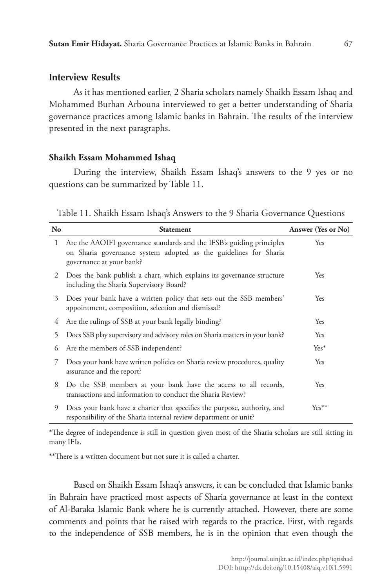#### **Interview Results**

As it has mentioned earlier, 2 Sharia scholars namely Shaikh Essam Ishaq and Mohammed Burhan Arbouna interviewed to get a better understanding of Sharia governance practices among Islamic banks in Bahrain. The results of the interview presented in the next paragraphs.

### **Shaikh Essam Mohammed Ishaq**

During the interview, Shaikh Essam Ishaq's answers to the 9 yes or no questions can be summarized by Table 11.

Table 11. Shaikh Essam Ishaq's Answers to the 9 Sharia Governance Questions

| N <sub>o</sub> | <b>Statement</b>                                                                                                                                                      | Answer (Yes or No) |
|----------------|-----------------------------------------------------------------------------------------------------------------------------------------------------------------------|--------------------|
| 1              | Are the AAOIFI governance standards and the IFSB's guiding principles<br>on Sharia governance system adopted as the guidelines for Sharia<br>governance at your bank? | Yes                |
| 2              | Does the bank publish a chart, which explains its governance structure<br>including the Sharia Supervisory Board?                                                     | Yes                |
| 3              | Does your bank have a written policy that sets out the SSB members'<br>appointment, composition, selection and dismissal?                                             | Yes                |
| 4              | Are the rulings of SSB at your bank legally binding?                                                                                                                  | Yes                |
| 5              | Does SSB play supervisory and advisory roles on Sharia matters in your bank?                                                                                          | Yes                |
| 6              | Are the members of SSB independent?                                                                                                                                   | $Yes^*$            |
| 7              | Does your bank have written policies on Sharia review procedures, quality<br>assurance and the report?                                                                | Yes                |
| 8              | Do the SSB members at your bank have the access to all records,<br>transactions and information to conduct the Sharia Review?                                         | Yes                |
| 9              | Does your bank have a charter that specifies the purpose, authority, and<br>responsibility of the Sharia internal review department or unit?                          | $Yes**$            |

\*The degree of independence is still in question given most of the Sharia scholars are still sitting in many IFIs.

\*\*There is a written document but not sure it is called a charter.

Based on Shaikh Essam Ishaq's answers, it can be concluded that Islamic banks in Bahrain have practiced most aspects of Sharia governance at least in the context of Al-Baraka Islamic Bank where he is currently attached. However, there are some comments and points that he raised with regards to the practice. First, with regards to the independence of SSB members, he is in the opinion that even though the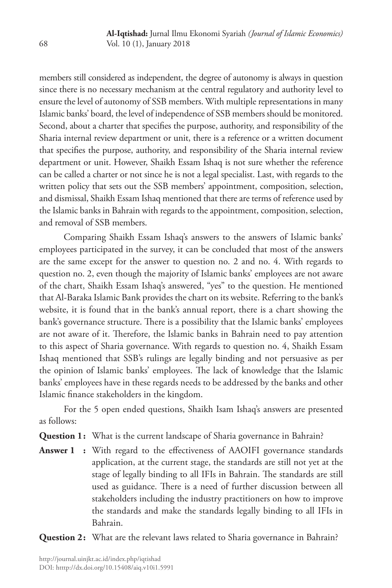members still considered as independent, the degree of autonomy is always in question since there is no necessary mechanism at the central regulatory and authority level to ensure the level of autonomy of SSB members. With multiple representations in many Islamic banks' board, the level of independence of SSB members should be monitored. Second, about a charter that specifies the purpose, authority, and responsibility of the Sharia internal review department or unit, there is a reference or a written document that specifies the purpose, authority, and responsibility of the Sharia internal review department or unit. However, Shaikh Essam Ishaq is not sure whether the reference can be called a charter or not since he is not a legal specialist. Last, with regards to the written policy that sets out the SSB members' appointment, composition, selection, and dismissal, Shaikh Essam Ishaq mentioned that there are terms of reference used by the Islamic banks in Bahrain with regards to the appointment, composition, selection, and removal of SSB members.

Comparing Shaikh Essam Ishaq's answers to the answers of Islamic banks' employees participated in the survey, it can be concluded that most of the answers are the same except for the answer to question no. 2 and no. 4. With regards to question no. 2, even though the majority of Islamic banks' employees are not aware of the chart, Shaikh Essam Ishaq's answered, "yes" to the question. He mentioned that Al-Baraka Islamic Bank provides the chart on its website. Referring to the bank's website, it is found that in the bank's annual report, there is a chart showing the bank's governance structure. There is a possibility that the Islamic banks' employees are not aware of it. Therefore, the Islamic banks in Bahrain need to pay attention to this aspect of Sharia governance. With regards to question no. 4, Shaikh Essam Ishaq mentioned that SSB's rulings are legally binding and not persuasive as per the opinion of Islamic banks' employees. The lack of knowledge that the Islamic banks' employees have in these regards needs to be addressed by the banks and other Islamic finance stakeholders in the kingdom.

For the 5 open ended questions, Shaikh Isam Ishaq's answers are presented as follows:

**Question 1:** What is the current landscape of Sharia governance in Bahrain?

**Answer 1 :** With regard to the effectiveness of AAOIFI governance standards application, at the current stage, the standards are still not yet at the stage of legally binding to all IFIs in Bahrain. The standards are still used as guidance. There is a need of further discussion between all stakeholders including the industry practitioners on how to improve the standards and make the standards legally binding to all IFIs in Bahrain.

**Question 2:** What are the relevant laws related to Sharia governance in Bahrain?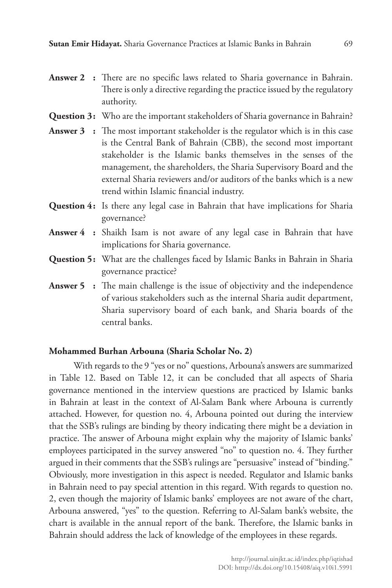- **Answer 2 :** There are no specific laws related to Sharia governance in Bahrain. There is only a directive regarding the practice issued by the regulatory authority.
- **Question 3:** Who are the important stakeholders of Sharia governance in Bahrain?
- **Answer 3 :** The most important stakeholder is the regulator which is in this case is the Central Bank of Bahrain (CBB), the second most important stakeholder is the Islamic banks themselves in the senses of the management, the shareholders, the Sharia Supervisory Board and the external Sharia reviewers and/or auditors of the banks which is a new trend within Islamic financial industry.
- **Question 4:** Is there any legal case in Bahrain that have implications for Sharia governance?
- **Answer 4 :** Shaikh Isam is not aware of any legal case in Bahrain that have implications for Sharia governance.
- **Question 5:** What are the challenges faced by Islamic Banks in Bahrain in Sharia governance practice?
- **Answer 5 :** The main challenge is the issue of objectivity and the independence of various stakeholders such as the internal Sharia audit department, Sharia supervisory board of each bank, and Sharia boards of the central banks.

#### **Mohammed Burhan Arbouna (Sharia Scholar No. 2)**

With regards to the 9 "yes or no" questions, Arbouna's answers are summarized in Table 12. Based on Table 12, it can be concluded that all aspects of Sharia governance mentioned in the interview questions are practiced by Islamic banks in Bahrain at least in the context of Al-Salam Bank where Arbouna is currently attached. However, for question no. 4, Arbouna pointed out during the interview that the SSB's rulings are binding by theory indicating there might be a deviation in practice. The answer of Arbouna might explain why the majority of Islamic banks' employees participated in the survey answered "no" to question no. 4. They further argued in their comments that the SSB's rulings are "persuasive" instead of "binding." Obviously, more investigation in this aspect is needed. Regulator and Islamic banks in Bahrain need to pay special attention in this regard. With regards to question no. 2, even though the majority of Islamic banks' employees are not aware of the chart, Arbouna answered, "yes" to the question. Referring to Al-Salam bank's website, the chart is available in the annual report of the bank. Therefore, the Islamic banks in Bahrain should address the lack of knowledge of the employees in these regards.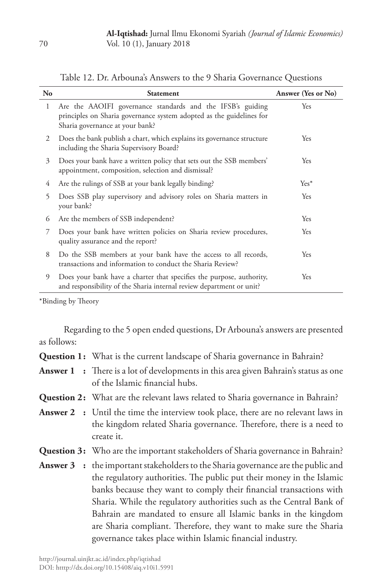| No | <b>Statement</b>                                                                                                                                                      | Answer (Yes or No) |
|----|-----------------------------------------------------------------------------------------------------------------------------------------------------------------------|--------------------|
| 1  | Are the AAOIFI governance standards and the IFSB's guiding<br>principles on Sharia governance system adopted as the guidelines for<br>Sharia governance at your bank? | Yes                |
| 2  | Does the bank publish a chart, which explains its governance structure<br>including the Sharia Supervisory Board?                                                     | Yes                |
| 3  | Does your bank have a written policy that sets out the SSB members'<br>appointment, composition, selection and dismissal?                                             | Yes                |
| 4  | Are the rulings of SSB at your bank legally binding?                                                                                                                  | $Yes*$             |
| 5  | Does SSB play supervisory and advisory roles on Sharia matters in<br>your bank?                                                                                       | Yes                |
| 6  | Are the members of SSB independent?                                                                                                                                   | Yes                |
| 7  | Does your bank have written policies on Sharia review procedures,<br>quality assurance and the report?                                                                | Yes                |
| 8  | Do the SSB members at your bank have the access to all records,<br>transactions and information to conduct the Sharia Review?                                         | Yes                |
| 9  | Does your bank have a charter that specifies the purpose, authority,<br>and responsibility of the Sharia internal review department or unit?                          | Yes                |

Table 12. Dr. Arbouna's Answers to the 9 Sharia Governance Questions

\*Binding by Theory

Regarding to the 5 open ended questions, Dr Arbouna's answers are presented as follows:

| <b>Question 1:</b> What is the current landscape of Sharia governance in Bahrain?                                                                                                                                                                                                                                                                                                                                                                                                                                      |
|------------------------------------------------------------------------------------------------------------------------------------------------------------------------------------------------------------------------------------------------------------------------------------------------------------------------------------------------------------------------------------------------------------------------------------------------------------------------------------------------------------------------|
| <b>Answer 1</b> : There is a lot of developments in this area given Bahrain's status as one<br>of the Islamic financial hubs.                                                                                                                                                                                                                                                                                                                                                                                          |
| <b>Question 2:</b> What are the relevant laws related to Sharia governance in Bahrain?                                                                                                                                                                                                                                                                                                                                                                                                                                 |
| <b>Answer 2</b> : Until the time the interview took place, there are no relevant laws in<br>the kingdom related Sharia governance. Therefore, there is a need to<br>create it.                                                                                                                                                                                                                                                                                                                                         |
| <b>Question 3:</b> Who are the important stakeholders of Sharia governance in Bahrain?                                                                                                                                                                                                                                                                                                                                                                                                                                 |
| <b>Answer 3</b> : the important stakeholders to the Sharia governance are the public and<br>the regulatory authorities. The public put their money in the Islamic<br>banks because they want to comply their financial transactions with<br>Sharia. While the regulatory authorities such as the Central Bank of<br>Bahrain are mandated to ensure all Islamic banks in the kingdom<br>are Sharia compliant. Therefore, they want to make sure the Sharia<br>governance takes place within Islamic financial industry. |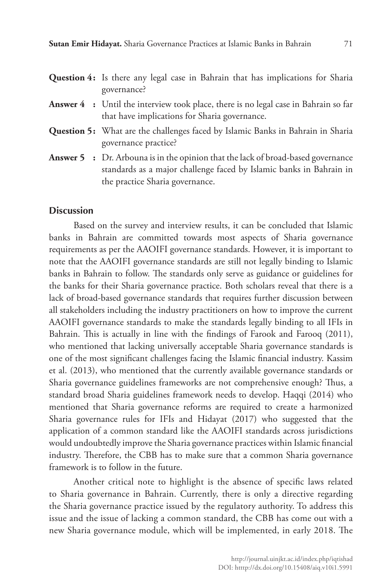- **Question 4:** Is there any legal case in Bahrain that has implications for Sharia governance?
- **Answer 4 :** Until the interview took place, there is no legal case in Bahrain so far that have implications for Sharia governance.
- **Question 5:** What are the challenges faced by Islamic Banks in Bahrain in Sharia governance practice?
- **Answer 5 :** Dr. Arbouna is in the opinion that the lack of broad-based governance standards as a major challenge faced by Islamic banks in Bahrain in the practice Sharia governance.

#### **Discussion**

Based on the survey and interview results, it can be concluded that Islamic banks in Bahrain are committed towards most aspects of Sharia governance requirements as per the AAOIFI governance standards. However, it is important to note that the AAOIFI governance standards are still not legally binding to Islamic banks in Bahrain to follow. The standards only serve as guidance or guidelines for the banks for their Sharia governance practice. Both scholars reveal that there is a lack of broad-based governance standards that requires further discussion between all stakeholders including the industry practitioners on how to improve the current AAOIFI governance standards to make the standards legally binding to all IFIs in Bahrain. This is actually in line with the findings of Farook and Farooq (2011), who mentioned that lacking universally acceptable Sharia governance standards is one of the most significant challenges facing the Islamic financial industry. Kassim et al. (2013), who mentioned that the currently available governance standards or Sharia governance guidelines frameworks are not comprehensive enough? Thus, a standard broad Sharia guidelines framework needs to develop. Haqqi (2014) who mentioned that Sharia governance reforms are required to create a harmonized Sharia governance rules for IFIs and Hidayat (2017) who suggested that the application of a common standard like the AAOIFI standards across jurisdictions would undoubtedly improve the Sharia governance practices within Islamic financial industry. Therefore, the CBB has to make sure that a common Sharia governance framework is to follow in the future.

Another critical note to highlight is the absence of specific laws related to Sharia governance in Bahrain. Currently, there is only a directive regarding the Sharia governance practice issued by the regulatory authority. To address this issue and the issue of lacking a common standard, the CBB has come out with a new Sharia governance module, which will be implemented, in early 2018. The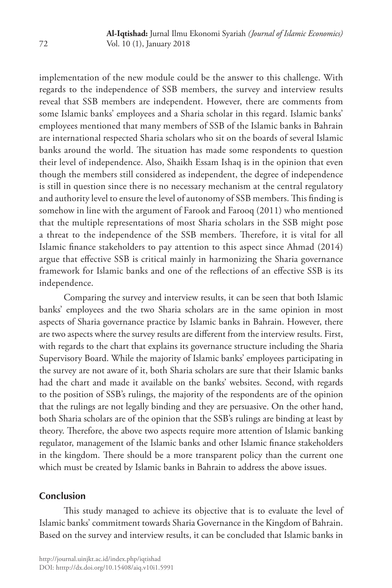implementation of the new module could be the answer to this challenge. With regards to the independence of SSB members, the survey and interview results reveal that SSB members are independent. However, there are comments from some Islamic banks' employees and a Sharia scholar in this regard. Islamic banks' employees mentioned that many members of SSB of the Islamic banks in Bahrain are international respected Sharia scholars who sit on the boards of several Islamic banks around the world. The situation has made some respondents to question their level of independence. Also, Shaikh Essam Ishaq is in the opinion that even though the members still considered as independent, the degree of independence is still in question since there is no necessary mechanism at the central regulatory and authority level to ensure the level of autonomy of SSB members. This finding is somehow in line with the argument of Farook and Farooq (2011) who mentioned that the multiple representations of most Sharia scholars in the SSB might pose a threat to the independence of the SSB members. Therefore, it is vital for all Islamic finance stakeholders to pay attention to this aspect since Ahmad (2014) argue that effective SSB is critical mainly in harmonizing the Sharia governance framework for Islamic banks and one of the reflections of an effective SSB is its independence.

Comparing the survey and interview results, it can be seen that both Islamic banks' employees and the two Sharia scholars are in the same opinion in most aspects of Sharia governance practice by Islamic banks in Bahrain. However, there are two aspects where the survey results are different from the interview results. First, with regards to the chart that explains its governance structure including the Sharia Supervisory Board. While the majority of Islamic banks' employees participating in the survey are not aware of it, both Sharia scholars are sure that their Islamic banks had the chart and made it available on the banks' websites. Second, with regards to the position of SSB's rulings, the majority of the respondents are of the opinion that the rulings are not legally binding and they are persuasive. On the other hand, both Sharia scholars are of the opinion that the SSB's rulings are binding at least by theory. Therefore, the above two aspects require more attention of Islamic banking regulator, management of the Islamic banks and other Islamic finance stakeholders in the kingdom. There should be a more transparent policy than the current one which must be created by Islamic banks in Bahrain to address the above issues.

## **Conclusion**

This study managed to achieve its objective that is to evaluate the level of Islamic banks' commitment towards Sharia Governance in the Kingdom of Bahrain. Based on the survey and interview results, it can be concluded that Islamic banks in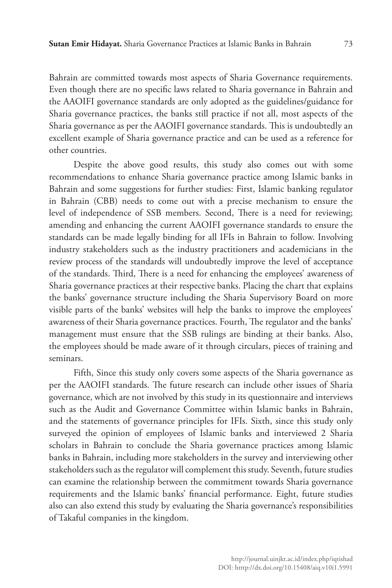Bahrain are committed towards most aspects of Sharia Governance requirements. Even though there are no specific laws related to Sharia governance in Bahrain and the AAOIFI governance standards are only adopted as the guidelines/guidance for Sharia governance practices, the banks still practice if not all, most aspects of the Sharia governance as per the AAOIFI governance standards. This is undoubtedly an excellent example of Sharia governance practice and can be used as a reference for other countries.

Despite the above good results, this study also comes out with some recommendations to enhance Sharia governance practice among Islamic banks in Bahrain and some suggestions for further studies: First, Islamic banking regulator in Bahrain (CBB) needs to come out with a precise mechanism to ensure the level of independence of SSB members. Second, There is a need for reviewing; amending and enhancing the current AAOIFI governance standards to ensure the standards can be made legally binding for all IFIs in Bahrain to follow. Involving industry stakeholders such as the industry practitioners and academicians in the review process of the standards will undoubtedly improve the level of acceptance of the standards. Third, There is a need for enhancing the employees' awareness of Sharia governance practices at their respective banks. Placing the chart that explains the banks' governance structure including the Sharia Supervisory Board on more visible parts of the banks' websites will help the banks to improve the employees' awareness of their Sharia governance practices. Fourth, The regulator and the banks' management must ensure that the SSB rulings are binding at their banks. Also, the employees should be made aware of it through circulars, pieces of training and seminars.

Fifth, Since this study only covers some aspects of the Sharia governance as per the AAOIFI standards. The future research can include other issues of Sharia governance, which are not involved by this study in its questionnaire and interviews such as the Audit and Governance Committee within Islamic banks in Bahrain, and the statements of governance principles for IFIs. Sixth, since this study only surveyed the opinion of employees of Islamic banks and interviewed 2 Sharia scholars in Bahrain to conclude the Sharia governance practices among Islamic banks in Bahrain, including more stakeholders in the survey and interviewing other stakeholders such as the regulator will complement this study. Seventh, future studies can examine the relationship between the commitment towards Sharia governance requirements and the Islamic banks' financial performance. Eight, future studies also can also extend this study by evaluating the Sharia governance's responsibilities of Takaful companies in the kingdom.